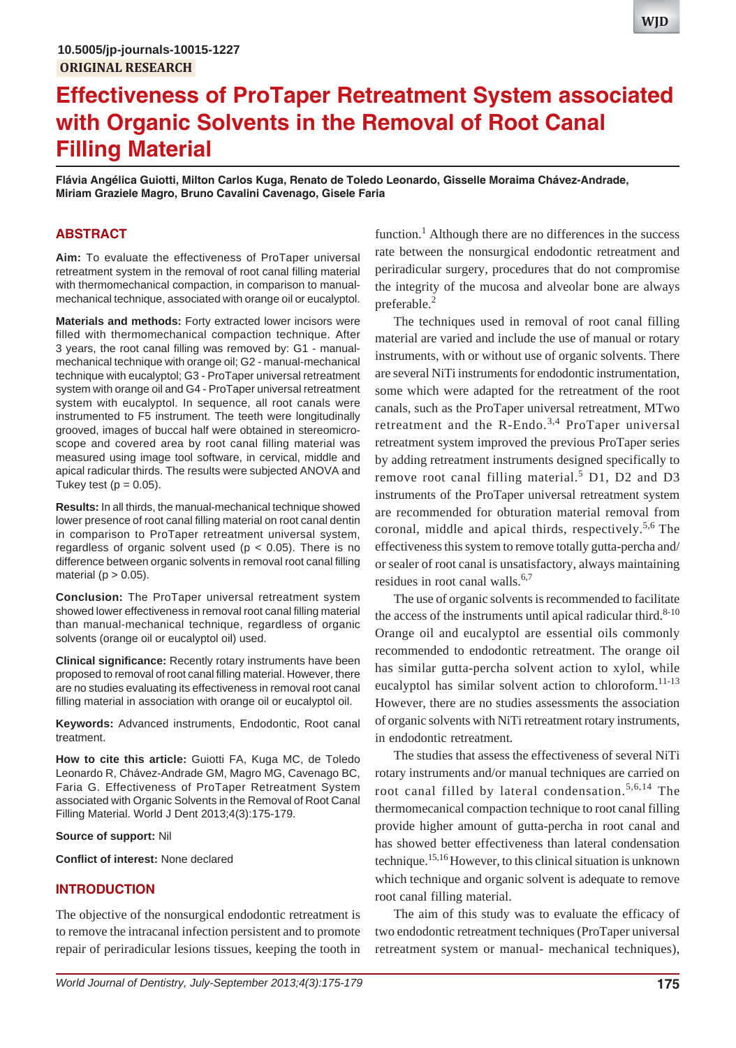# **Effectiveness of ProTaper Retreatment System associated with Organic Solvents in the Removal of Root Canal Filling Material**

**Flávia Angélica Guiotti, Milton Carlos Kuga, Renato de Toledo Leonardo, Gisselle Moraima Chávez-Andrade, Miriam Graziele Magro, Bruno Cavalini Cavenago, Gisele Faria**

# **ABSTRACT**

**Aim:** To evaluate the effectiveness of ProTaper universal retreatment system in the removal of root canal filling material with thermomechanical compaction, in comparison to manualmechanical technique, associated with orange oil or eucalyptol.

**Materials and methods:** Forty extracted lower incisors were filled with thermomechanical compaction technique. After 3 years, the root canal filling was removed by: G1 - manualmechanical technique with orange oil; G2 - manual-mechanical technique with eucalyptol; G3 - ProTaper universal retreatment system with orange oil and G4 - ProTaper universal retreatment system with eucalyptol. In sequence, all root canals were instrumented to F5 instrument. The teeth were longitudinally grooved, images of buccal half were obtained in stereomicroscope and covered area by root canal filling material was measured using image tool software, in cervical, middle and apical radicular thirds. The results were subjected ANOVA and Tukey test  $(p = 0.05)$ .

**Results:** In all thirds, the manual-mechanical technique showed lower presence of root canal filling material on root canal dentin in comparison to ProTaper retreatment universal system, regardless of organic solvent used ( $p < 0.05$ ). There is no difference between organic solvents in removal root canal filling material ( $p > 0.05$ ).

**Conclusion:** The ProTaper universal retreatment system showed lower effectiveness in removal root canal filling material than manual-mechanical technique, regardless of organic solvents (orange oil or eucalyptol oil) used.

**Clinical significance:** Recently rotary instruments have been proposed to removal of root canal filling material. However, there are no studies evaluating its effectiveness in removal root canal filling material in association with orange oil or eucalyptol oil.

**Keywords:** Advanced instruments, Endodontic, Root canal treatment.

**How to cite this article:** Guiotti FA, Kuga MC, de Toledo Leonardo R, Chávez-Andrade GM, Magro MG, Cavenago BC, Faria G. Effectiveness of ProTaper Retreatment System associated with Organic Solvents in the Removal of Root Canal Filling Material. World J Dent 2013;4(3):175-179.

## **Source of support:** Nil

**Conflict of interest:** None declared

# **INTRODUCTION**

The objective of the nonsurgical endodontic retreatment is to remove the intracanal infection persistent and to promote repair of periradicular lesions tissues, keeping the tooth in

function.<sup>1</sup> Although there are no differences in the success rate between the nonsurgical endodontic retreatment and periradicular surgery, procedures that do not compromise the integrity of the mucosa and alveolar bone are always preferable. $^{2}$ 

The techniques used in removal of root canal filling material are varied and include the use of manual or rotary instruments, with or without use of organic solvents. There are several NiTi instruments for endodontic instrumentation, some which were adapted for the retreatment of the root canals, such as the ProTaper universal retreatment, MTwo retreatment and the R-Endo.<sup>3,4</sup> ProTaper universal retreatment system improved the previous ProTaper series by adding retreatment instruments designed specifically to remove root canal filling material.<sup>5</sup> D1, D2 and D3 instruments of the ProTaper universal retreatment system are recommended for obturation material removal from coronal, middle and apical thirds, respectively.<sup>5,6</sup> The effectiveness this system to remove totally gutta-percha and/ or sealer of root canal is unsatisfactory, always maintaining residues in root canal walls.<sup>6,7</sup>

The use of organic solvents is recommended to facilitate the access of the instruments until apical radicular third. $8-10$ Orange oil and eucalyptol are essential oils commonly recommended to endodontic retreatment. The orange oil has similar gutta-percha solvent action to xylol, while eucalyptol has similar solvent action to chloroform. $11-13$ However, there are no studies assessments the association of organic solvents with NiTi retreatment rotary instruments, in endodontic retreatment.

The studies that assess the effectiveness of several NiTi rotary instruments and/or manual techniques are carried on root canal filled by lateral condensation.<sup>5,6,14</sup> The thermomecanical compaction technique to root canal filling provide higher amount of gutta-percha in root canal and has showed better effectiveness than lateral condensation technique.15,16 However, to this clinical situation is unknown which technique and organic solvent is adequate to remove root canal filling material.

The aim of this study was to evaluate the efficacy of two endodontic retreatment techniques (ProTaper universal retreatment system or manual- mechanical techniques),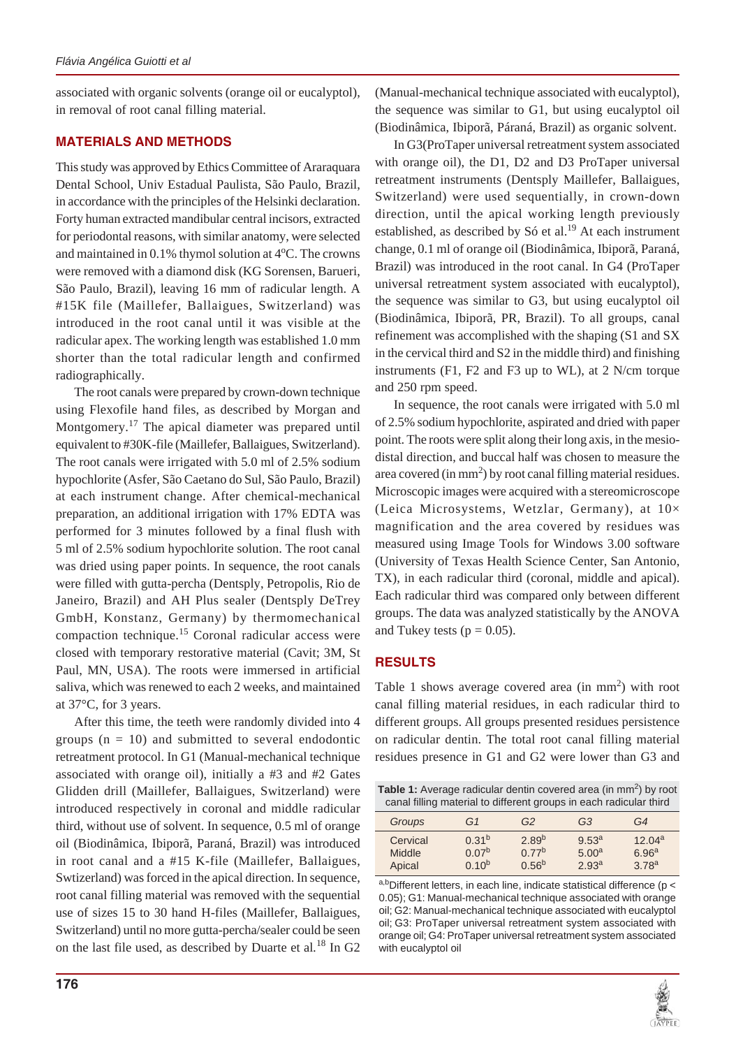associated with organic solvents (orange oil or eucalyptol), in removal of root canal filling material.

## **MATERIALS AND METHODS**

This study was approved by Ethics Committee of Araraquara Dental School, Univ Estadual Paulista, São Paulo, Brazil, in accordance with the principles of the Helsinki declaration. Forty human extracted mandibular central incisors, extracted for periodontal reasons, with similar anatomy, were selected and maintained in 0.1% thymol solution at 4°C. The crowns were removed with a diamond disk (KG Sorensen, Barueri, São Paulo, Brazil), leaving 16 mm of radicular length. A #15K file (Maillefer, Ballaigues, Switzerland) was introduced in the root canal until it was visible at the radicular apex. The working length was established 1.0 mm shorter than the total radicular length and confirmed radiographically.

The root canals were prepared by crown-down technique using Flexofile hand files, as described by Morgan and Montgomery.<sup>17</sup> The apical diameter was prepared until equivalent to #30K-file (Maillefer, Ballaigues, Switzerland). The root canals were irrigated with 5.0 ml of 2.5% sodium hypochlorite (Asfer, São Caetano do Sul, São Paulo, Brazil) at each instrument change. After chemical-mechanical preparation, an additional irrigation with 17% EDTA was performed for 3 minutes followed by a final flush with 5 ml of 2.5% sodium hypochlorite solution. The root canal was dried using paper points. In sequence, the root canals were filled with gutta-percha (Dentsply, Petropolis, Rio de Janeiro, Brazil) and AH Plus sealer (Dentsply DeTrey GmbH, Konstanz, Germany) by thermomechanical compaction technique.15 Coronal radicular access were closed with temporary restorative material (Cavit; 3M, St Paul, MN, USA). The roots were immersed in artificial saliva, which was renewed to each 2 weeks, and maintained at 37°C, for 3 years.

After this time, the teeth were randomly divided into 4 groups  $(n = 10)$  and submitted to several endodontic retreatment protocol. In G1 (Manual-mechanical technique associated with orange oil), initially a #3 and #2 Gates Glidden drill (Maillefer, Ballaigues, Switzerland) were introduced respectively in coronal and middle radicular third, without use of solvent. In sequence, 0.5 ml of orange oil (Biodinâmica, Ibiporã, Paraná, Brazil) was introduced in root canal and a #15 K-file (Maillefer, Ballaigues, Swtizerland) was forced in the apical direction. In sequence, root canal filling material was removed with the sequential use of sizes 15 to 30 hand H-files (Maillefer, Ballaigues, Switzerland) until no more gutta-percha/sealer could be seen on the last file used, as described by Duarte et al*.* 18 In G2

In G3(ProTaper universal retreatment system associated with orange oil), the D1, D2 and D3 ProTaper universal retreatment instruments (Dentsply Maillefer, Ballaigues, Switzerland) were used sequentially, in crown-down direction, until the apical working length previously established, as described by Só et al.<sup>19</sup> At each instrument change, 0.1 ml of orange oil (Biodinâmica, Ibiporã, Paraná, Brazil) was introduced in the root canal. In G4 (ProTaper universal retreatment system associated with eucalyptol), the sequence was similar to G3, but using eucalyptol oil (Biodinâmica, Ibiporã, PR, Brazil). To all groups, canal refinement was accomplished with the shaping (S1 and SX in the cervical third and S2 in the middle third) and finishing instruments (F1, F2 and F3 up to WL), at 2 N/cm torque and 250 rpm speed.

In sequence, the root canals were irrigated with 5.0 ml of 2.5% sodium hypochlorite, aspirated and dried with paper point. The roots were split along their long axis, in the mesiodistal direction, and buccal half was chosen to measure the area covered (in  $mm<sup>2</sup>$ ) by root canal filling material residues. Microscopic images were acquired with a stereomicroscope (Leica Microsystems, Wetzlar, Germany), at 10× magnification and the area covered by residues was measured using Image Tools for Windows 3.00 software (University of Texas Health Science Center, San Antonio, TX), in each radicular third (coronal, middle and apical). Each radicular third was compared only between different groups. The data was analyzed statistically by the ANOVA and Tukey tests ( $p = 0.05$ ).

# **RESULTS**

Table 1 shows average covered area (in  $mm<sup>2</sup>$ ) with root canal filling material residues, in each radicular third to different groups. All groups presented residues persistence on radicular dentin. The total root canal filling material residues presence in G1 and G2 were lower than G3 and

| Table 1: Average radicular dentin covered area (in mm <sup>2</sup> ) by root<br>canal filling material to different groups in each radicular third |                   |                   |                   |                    |
|----------------------------------------------------------------------------------------------------------------------------------------------------|-------------------|-------------------|-------------------|--------------------|
| Groups                                                                                                                                             | G1                | G2                | G <sub>3</sub>    | G4                 |
| Cervical                                                                                                                                           | 0.31 <sup>b</sup> | 2.89 <sup>b</sup> | 9.53 <sup>a</sup> | 12.04 <sup>a</sup> |
| Middle                                                                                                                                             | 0.07 <sup>b</sup> | $0.77^{b}$        | 5.00 <sup>a</sup> | 6.96 <sup>a</sup>  |
| Apical                                                                                                                                             | 0.10 <sup>b</sup> | $0.56^{b}$        | 2.93 <sup>a</sup> | 3.78 <sup>a</sup>  |

a,bDifferent letters, in each line, indicate statistical difference (p < 0.05); G1: Manual-mechanical technique associated with orange oil; G2: Manual-mechanical technique associated with eucalyptol oil; G3: ProTaper universal retreatment system associated with orange oil; G4: ProTaper universal retreatment system associated with eucalyptol oil

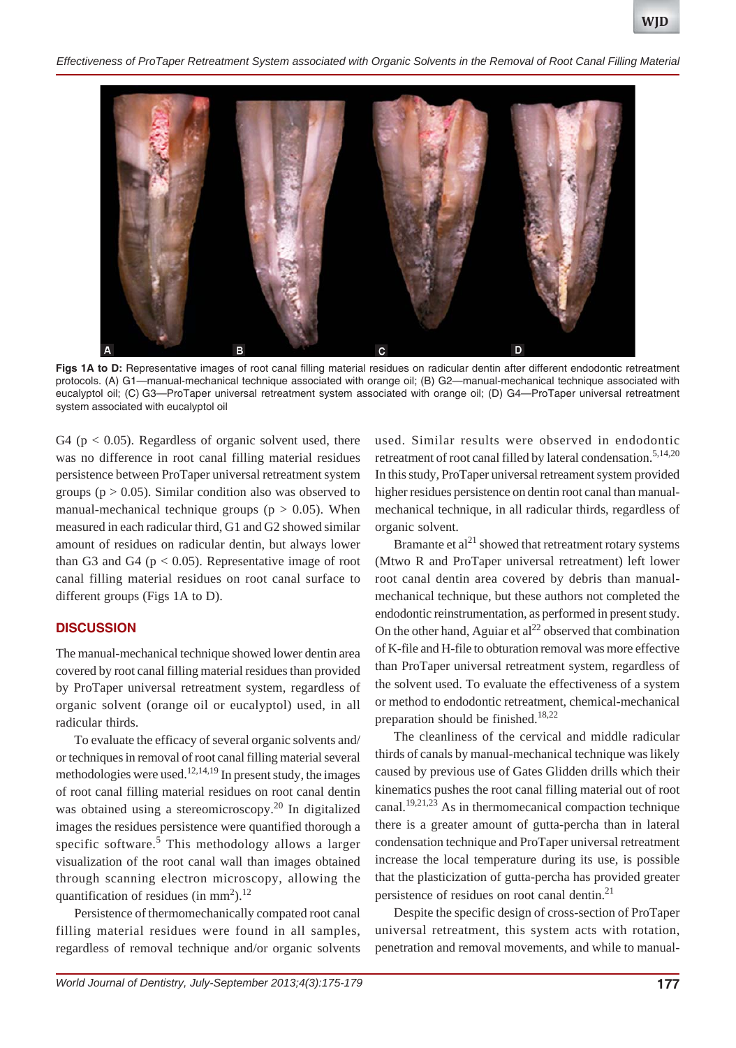*Effectiveness of ProTaper Retreatment System associated with Organic Solvents in the Removal of Root Canal Filling Material*



Figs 1A to D: Representative images of root canal filling material residues on radicular dentin after different endodontic retreatment protocols. (A) G1—manual-mechanical technique associated with orange oil; (B) G2—manual-mechanical technique associated with eucalyptol oil; (C) G3—ProTaper universal retreatment system associated with orange oil; (D) G4—ProTaper universal retreatment system associated with eucalyptol oil

G4 ( $p < 0.05$ ). Regardless of organic solvent used, there was no difference in root canal filling material residues persistence between ProTaper universal retreatment system groups ( $p > 0.05$ ). Similar condition also was observed to manual-mechanical technique groups ( $p > 0.05$ ). When measured in each radicular third, G1 and G2 showed similar amount of residues on radicular dentin, but always lower than G3 and G4 ( $p < 0.05$ ). Representative image of root canal filling material residues on root canal surface to different groups (Figs 1A to D).

#### **DISCUSSION**

The manual-mechanical technique showed lower dentin area covered by root canal filling material residues than provided by ProTaper universal retreatment system, regardless of organic solvent (orange oil or eucalyptol) used, in all radicular thirds.

To evaluate the efficacy of several organic solvents and/ or techniques in removal of root canal filling material several methodologies were used.<sup>12,14,19</sup> In present study, the images of root canal filling material residues on root canal dentin was obtained using a stereomicroscopy.<sup>20</sup> In digitalized images the residues persistence were quantified thorough a specific software.<sup>5</sup> This methodology allows a larger visualization of the root canal wall than images obtained through scanning electron microscopy, allowing the quantification of residues (in mm<sup>2</sup>).<sup>12</sup>

Persistence of thermomechanically compated root canal filling material residues were found in all samples, regardless of removal technique and/or organic solvents used. Similar results were observed in endodontic retreatment of root canal filled by lateral condensation.<sup>5,14,20</sup> In this study, ProTaper universal retreament system provided higher residues persistence on dentin root canal than manualmechanical technique, in all radicular thirds, regardless of organic solvent.

Bramante et  $al<sup>21</sup>$  showed that retreatment rotary systems (Mtwo R and ProTaper universal retreatment) left lower root canal dentin area covered by debris than manualmechanical technique, but these authors not completed the endodontic reinstrumentation, as performed in present study. On the other hand, Aguiar et  $al<sup>22</sup>$  observed that combination of K-file and H-file to obturation removal was more effective than ProTaper universal retreatment system, regardless of the solvent used. To evaluate the effectiveness of a system or method to endodontic retreatment, chemical-mechanical preparation should be finished.<sup>18,22</sup>

The cleanliness of the cervical and middle radicular thirds of canals by manual-mechanical technique was likely caused by previous use of Gates Glidden drills which their kinematics pushes the root canal filling material out of root canal.<sup>19,21,23</sup> As in thermomecanical compaction technique there is a greater amount of gutta-percha than in lateral condensation technique and ProTaper universal retreatment increase the local temperature during its use, is possible that the plasticization of gutta-percha has provided greater persistence of residues on root canal dentin.<sup>21</sup>

Despite the specific design of cross-section of ProTaper universal retreatment, this system acts with rotation, penetration and removal movements, and while to manual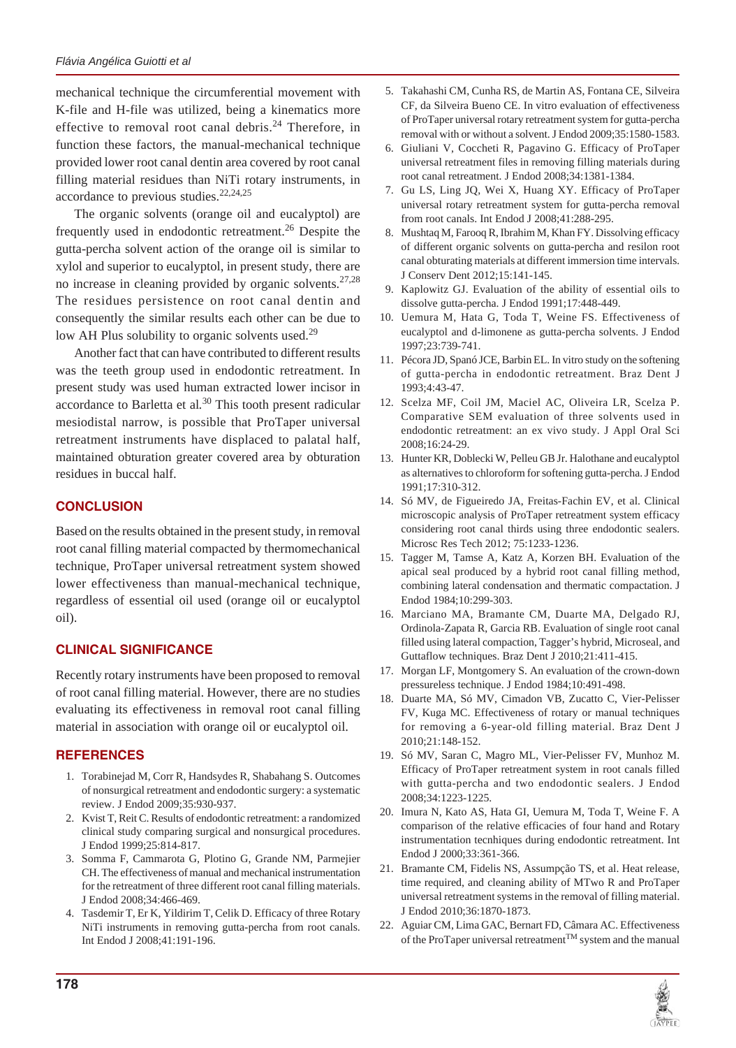mechanical technique the circumferential movement with K-file and H-file was utilized, being a kinematics more effective to removal root canal debris.<sup>24</sup> Therefore, in function these factors, the manual-mechanical technique provided lower root canal dentin area covered by root canal filling material residues than NiTi rotary instruments, in accordance to previous studies. $22,24,25$ 

The organic solvents (orange oil and eucalyptol) are frequently used in endodontic retreatment.<sup>26</sup> Despite the gutta-percha solvent action of the orange oil is similar to xylol and superior to eucalyptol, in present study, there are no increase in cleaning provided by organic solvents. $27,28$ The residues persistence on root canal dentin and consequently the similar results each other can be due to low AH Plus solubility to organic solvents used.<sup>29</sup>

Another fact that can have contributed to different results was the teeth group used in endodontic retreatment. In present study was used human extracted lower incisor in accordance to Barletta et al*.* 30 This tooth present radicular mesiodistal narrow, is possible that ProTaper universal retreatment instruments have displaced to palatal half, maintained obturation greater covered area by obturation residues in buccal half.

## **CONCLUSION**

Based on the results obtained in the present study, in removal root canal filling material compacted by thermomechanical technique, ProTaper universal retreatment system showed lower effectiveness than manual-mechanical technique, regardless of essential oil used (orange oil or eucalyptol oil).

## **CLINICAL SIGNIFICANCE**

Recently rotary instruments have been proposed to removal of root canal filling material. However, there are no studies evaluating its effectiveness in removal root canal filling material in association with orange oil or eucalyptol oil.

## **REFERENCES**

- 1. Torabinejad M, Corr R, Handsydes R, Shabahang S. Outcomes of nonsurgical retreatment and endodontic surgery: a systematic review. J Endod 2009;35:930-937.
- 2. Kvist T, Reit C. Results of endodontic retreatment: a randomized clinical study comparing surgical and nonsurgical procedures. J Endod 1999;25:814-817.
- 3. Somma F, Cammarota G, Plotino G, Grande NM, Parmejier CH. The effectiveness of manual and mechanical instrumentation for the retreatment of three different root canal filling materials. J Endod 2008;34:466-469.
- 4. Tasdemir T, Er K, Yildirim T, Celik D. Efficacy of three Rotary NiTi instruments in removing gutta-percha from root canals. Int Endod J 2008;41:191-196.
- 5. Takahashi CM, Cunha RS, de Martin AS, Fontana CE, Silveira CF, da Silveira Bueno CE. In vitro evaluation of effectiveness of ProTaper universal rotary retreatment system for gutta-percha removal with or without a solvent. J Endod 2009;35:1580-1583.
- 6. Giuliani V, Coccheti R, Pagavino G. Efficacy of ProTaper universal retreatment files in removing filling materials during root canal retreatment. J Endod 2008;34:1381-1384.
- 7. Gu LS, Ling JQ, Wei X, Huang XY. Efficacy of ProTaper universal rotary retreatment system for gutta-percha removal from root canals. Int Endod J 2008;41:288-295.
- 8. Mushtaq M, Farooq R, Ibrahim M, Khan FY. Dissolving efficacy of different organic solvents on gutta-percha and resilon root canal obturating materials at different immersion time intervals. J Conserv Dent 2012;15:141-145.
- 9. Kaplowitz GJ. Evaluation of the ability of essential oils to dissolve gutta-percha. J Endod 1991;17:448-449.
- 10. Uemura M, Hata G, Toda T, Weine FS. Effectiveness of eucalyptol and d-limonene as gutta-percha solvents. J Endod 1997;23:739-741.
- 11. Pécora JD, Spanó JCE, Barbin EL. In vitro study on the softening of gutta-percha in endodontic retreatment. Braz Dent J 1993;4:43-47.
- 12. Scelza MF, Coil JM, Maciel AC, Oliveira LR, Scelza P. Comparative SEM evaluation of three solvents used in endodontic retreatment: an ex vivo study. J Appl Oral Sci 2008;16:24-29.
- 13. Hunter KR, Doblecki W, Pelleu GB Jr. Halothane and eucalyptol as alternatives to chloroform for softening gutta-percha. J Endod 1991;17:310-312.
- 14. Só MV, de Figueiredo JA, Freitas-Fachin EV, et al. Clinical microscopic analysis of ProTaper retreatment system efficacy considering root canal thirds using three endodontic sealers. Microsc Res Tech 2012; 75:1233-1236.
- 15. Tagger M, Tamse A, Katz A, Korzen BH. Evaluation of the apical seal produced by a hybrid root canal filling method, combining lateral condensation and thermatic compactation. J Endod 1984;10:299-303.
- 16. Marciano MA, Bramante CM, Duarte MA, Delgado RJ, Ordinola-Zapata R, Garcia RB. Evaluation of single root canal filled using lateral compaction, Tagger's hybrid, Microseal, and Guttaflow techniques. Braz Dent J 2010;21:411-415.
- 17. Morgan LF, Montgomery S. An evaluation of the crown-down pressureless technique. J Endod 1984;10:491-498.
- 18. Duarte MA, Só MV, Cimadon VB, Zucatto C, Vier-Pelisser FV, Kuga MC. Effectiveness of rotary or manual techniques for removing a 6-year-old filling material. Braz Dent J 2010;21:148-152.
- 19. Só MV, Saran C, Magro ML, Vier-Pelisser FV, Munhoz M. Efficacy of ProTaper retreatment system in root canals filled with gutta-percha and two endodontic sealers. J Endod 2008;34:1223-1225.
- 20. Imura N, Kato AS, Hata GI, Uemura M, Toda T, Weine F. A comparison of the relative efficacies of four hand and Rotary instrumentation tecnhiques during endodontic retreatment. Int Endod J 2000;33:361-366.
- 21. Bramante CM, Fidelis NS, Assumpção TS, et al. Heat release, time required, and cleaning ability of MTwo R and ProTaper universal retreatment systems in the removal of filling material. J Endod 2010;36:1870-1873.
- 22. Aguiar CM, Lima GAC, Bernart FD, Câmara AC. Effectiveness of the ProTaper universal retreatmentTM system and the manual